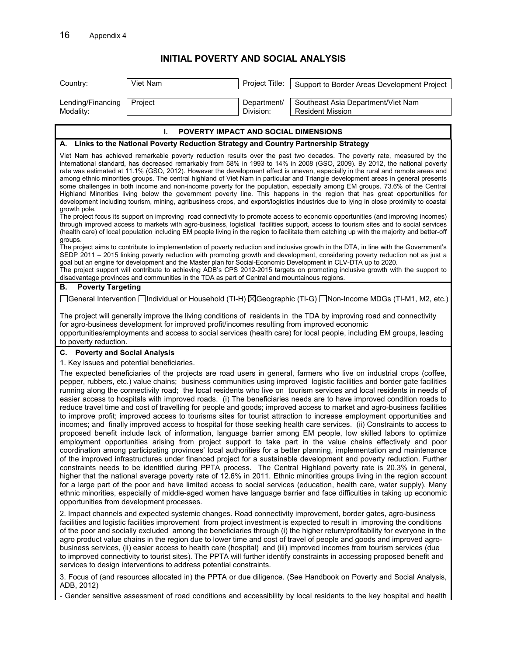## **INITIAL POVERTY AND SOCIAL ANALYSIS**

| Country:                                                                                                                                                                                                                                                                                                                                                                                                                                                                                                                                                                                                                                                                                                                                                                                                                                                                                                                                                                                                                                                                                                                                                                                                                                                                                                                                                                                                                                                                                                                                                                                                                                                                                                                                                                                                                                                                                                                                                                                                                                                                                                                                                              | Viet Nam                                   | Project Title:           | Support to Border Areas Development Project                   |  |
|-----------------------------------------------------------------------------------------------------------------------------------------------------------------------------------------------------------------------------------------------------------------------------------------------------------------------------------------------------------------------------------------------------------------------------------------------------------------------------------------------------------------------------------------------------------------------------------------------------------------------------------------------------------------------------------------------------------------------------------------------------------------------------------------------------------------------------------------------------------------------------------------------------------------------------------------------------------------------------------------------------------------------------------------------------------------------------------------------------------------------------------------------------------------------------------------------------------------------------------------------------------------------------------------------------------------------------------------------------------------------------------------------------------------------------------------------------------------------------------------------------------------------------------------------------------------------------------------------------------------------------------------------------------------------------------------------------------------------------------------------------------------------------------------------------------------------------------------------------------------------------------------------------------------------------------------------------------------------------------------------------------------------------------------------------------------------------------------------------------------------------------------------------------------------|--------------------------------------------|--------------------------|---------------------------------------------------------------|--|
| Lending/Financing<br>Modality:                                                                                                                                                                                                                                                                                                                                                                                                                                                                                                                                                                                                                                                                                                                                                                                                                                                                                                                                                                                                                                                                                                                                                                                                                                                                                                                                                                                                                                                                                                                                                                                                                                                                                                                                                                                                                                                                                                                                                                                                                                                                                                                                        | Project                                    | Department/<br>Division: | Southeast Asia Department/Viet Nam<br><b>Resident Mission</b> |  |
|                                                                                                                                                                                                                                                                                                                                                                                                                                                                                                                                                                                                                                                                                                                                                                                                                                                                                                                                                                                                                                                                                                                                                                                                                                                                                                                                                                                                                                                                                                                                                                                                                                                                                                                                                                                                                                                                                                                                                                                                                                                                                                                                                                       |                                            |                          |                                                               |  |
| ı.<br><b>POVERTY IMPACT AND SOCIAL DIMENSIONS</b><br>A. Links to the National Poverty Reduction Strategy and Country Partnership Strategy                                                                                                                                                                                                                                                                                                                                                                                                                                                                                                                                                                                                                                                                                                                                                                                                                                                                                                                                                                                                                                                                                                                                                                                                                                                                                                                                                                                                                                                                                                                                                                                                                                                                                                                                                                                                                                                                                                                                                                                                                             |                                            |                          |                                                               |  |
| Viet Nam has achieved remarkable poverty reduction results over the past two decades. The poverty rate, measured by the<br>international standard, has decreased remarkably from 58% in 1993 to 14% in 2008 (GSO, 2009). By 2012, the national poverty<br>rate was estimated at 11.1% (GSO, 2012). However the development effect is uneven, especially in the rural and remote areas and<br>among ethnic minorities groups. The central highland of Viet Nam in particular and Triangle development areas in general presents<br>some challenges in both income and non-income poverty for the population, especially among EM groups. 73.6% of the Central<br>Highland Minorities living below the government poverty line. This happens in the region that has great opportunities for<br>development including tourism, mining, agribusiness crops, and export/logistics industries due to lying in close proximity to coastal<br>growth pole.<br>The project focus its support on improving road connectivity to promote access to economic opportunities (and improving incomes)<br>through improved access to markets with agro-business, logistical facilities support, access to tourism sites and to social services<br>(health care) of local population including EM people living in the region to facilitate them catching up with the majority and better-off<br>groups.<br>The project aims to contribute to implementation of poverty reduction and inclusive growth in the DTA, in line with the Government's<br>SEDP 2011 - 2015 linking poverty reduction with promoting growth and development, considering poverty reduction not as just a<br>goal but an engine for development and the Master plan for Social-Economic Development in CLV-DTA up to 2020.<br>The project support will contribute to achieving ADB's CPS 2012-2015 targets on promoting inclusive growth with the support to<br>disadvantage provinces and communities in the TDA as part of Central and mountainous regions.<br><b>Poverty Targeting</b><br>В.<br>□General Intervention □Individual or Household (TI-H) ⊠Geographic (TI-G) □Non-Income MDGs (TI-M1, M2, etc.) |                                            |                          |                                                               |  |
| The project will generally improve the living conditions of residents in the TDA by improving road and connectivity<br>for agro-business development for improved profit/incomes resulting from improved economic<br>opportunities/employments and access to social services (health care) for local people, including EM groups, leading<br>to poverty reduction.                                                                                                                                                                                                                                                                                                                                                                                                                                                                                                                                                                                                                                                                                                                                                                                                                                                                                                                                                                                                                                                                                                                                                                                                                                                                                                                                                                                                                                                                                                                                                                                                                                                                                                                                                                                                    |                                            |                          |                                                               |  |
| C. Poverty and Social Analysis                                                                                                                                                                                                                                                                                                                                                                                                                                                                                                                                                                                                                                                                                                                                                                                                                                                                                                                                                                                                                                                                                                                                                                                                                                                                                                                                                                                                                                                                                                                                                                                                                                                                                                                                                                                                                                                                                                                                                                                                                                                                                                                                        |                                            |                          |                                                               |  |
|                                                                                                                                                                                                                                                                                                                                                                                                                                                                                                                                                                                                                                                                                                                                                                                                                                                                                                                                                                                                                                                                                                                                                                                                                                                                                                                                                                                                                                                                                                                                                                                                                                                                                                                                                                                                                                                                                                                                                                                                                                                                                                                                                                       | 1. Key issues and potential beneficiaries. |                          |                                                               |  |
| The expected beneficiaries of the projects are road users in general, farmers who live on industrial crops (coffee,<br>pepper, rubbers, etc.) value chains; business communities using improved logistic facilities and border gate facilities<br>running along the connectivity road; the local residents who live on tourism services and local residents in needs of<br>easier access to hospitals with improved roads. (i) The beneficiaries needs are to have improved condition roads to<br>reduce travel time and cost of travelling for people and goods; improved access to market and agro-business facilities<br>to improve profit; improved access to tourisms sites for tourist attraction to increase employment opportunities and<br>incomes; and finally improved access to hospital for those seeking health care services. (ii) Constraints to access to<br>proposed benefit include lack of information, language barrier among EM people, low skilled labors to optimize<br>employment opportunities arising from project support to take part in the value chains effectively and poor<br>coordination among participating provinces' local authorities for a better planning, implementation and maintenance<br>of the improved infrastructures under financed project for a sustainable development and poverty reduction. Further<br>constraints needs to be identified during PPTA process. The Central Highland poverty rate is 20.3% in general,<br>higher that the national average poverty rate of 12.6% in 2011. Ethnic minorities groups living in the region account<br>for a large part of the poor and have limited access to social services (education, health care, water supply). Many<br>ethnic minorities, especially of middle-aged women have language barrier and face difficulties in taking up economic<br>opportunities from development processes.                                                                                                                                                                                                                                                                     |                                            |                          |                                                               |  |
| 2. Impact channels and expected systemic changes. Road connectivity improvement, border gates, agro-business<br>facilities and logistic facilities improvement from project investment is expected to result in improving the conditions<br>of the poor and socially excluded among the beneficiaries through (i) the higher return/profitability for everyone in the<br>agro product value chains in the region due to lower time and cost of travel of people and goods and improved agro-<br>business services, (ii) easier access to health care (hospital) and (iii) improved incomes from tourism services (due<br>to improved connectivity to tourist sites). The PPTA will further identify constraints in accessing proposed benefit and<br>services to design interventions to address potential constraints.                                                                                                                                                                                                                                                                                                                                                                                                                                                                                                                                                                                                                                                                                                                                                                                                                                                                                                                                                                                                                                                                                                                                                                                                                                                                                                                                               |                                            |                          |                                                               |  |

3. Focus of (and resources allocated in) the PPTA or due diligence. (See Handbook on Poverty and Social Analysis, ADB, 2012)

- Gender sensitive assessment of road conditions and accessibility by local residents to the key hospital and health |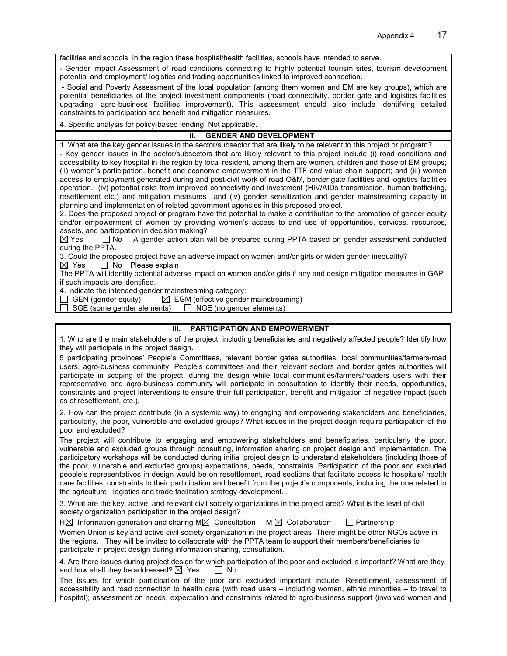facilities and schools in the region these hospital/health facilities, schools have intended to serve.

- Gender impact Assessment of road conditions connecting to highly potential tourism sites, tourism development potential and employment/ logistics and trading opportunities linked to improved connection.

 - Social and Poverty Assessment of the local population (among them women and EM are key groups), which are potential beneficiaries of the project investment components (road connectivity, border gate and logistics facilities upgrading; agro-business facilities improvement). This assessment should also include identifying detailed constraints to participation and benefit and mitigation measures.

4. Specific analysis for policy-based lending. Not applicable.

## **II. GENDER AND DEVELOPMENT**

1. What are the key gender issues in the sector/subsector that are likely to be relevant to this project or program? - Key gender issues in the sector/subsectors that are likely relevant to this project include (i) road conditions and accessibility to key hospital in the region by local resident, among them are women, children and those of EM groups; (ii) women's participation, benefit and economic empowerment in the TTF and value chain support; and (iii) women access to employment generated during and post-civil work of road O&M, border gate facilities and logistics facilities operation. (iv) potential risks from improved connectivity and investment (HIV/AIDs transmission, human trafficking, resettlement etc.) and mitigation measures and (iv) gender sensitization and gender mainstreaming capacity in planning and implementation of related government agencies in this proposed project.

2. Does the proposed project or program have the potential to make a contribution to the promotion of gender equity and/or empowerment of women by providing women's access to and use of opportunities, services, resources, assets, and participation in decision making?<br> $\boxtimes$  Yes  $\qquad \Box$  No A gender action plan v

 $\Box$  No A gender action plan will be prepared during PPTA based on gender assessment conducted during the PPTA.

3. Could the proposed project have an adverse impact on women and/or girls or widen gender inequality?

 $\boxtimes$  Yes  $\Box$  No Please explain

The PPTA will identify potential adverse impact on women and/or girls if any and design mitigation measures in GAP if such impacts are identified.

4. Indicate the intended gender mainstreaming category:<br>  $\Box$  GEN (gender equity)  $\Box$  EGM (effective gender

 $\boxtimes$  EGM (effective gender mainstreaming)

 $SGE$  (some gender elements)  $\Box$  NGE (no gender elements)

## **III. PARTICIPATION AND EMPOWERMENT**

1. Who are the main stakeholders of the project, including beneficiaries and negatively affected people? Identify how they will participate in the project design.

5 participating provinces' People's Committees, relevant border gates authorities, local communities/farmers/road users, agro-business community. People's committees and their relevant sectors and border gates authorities will participate in scoping of the project, during the design while local communities/farmers/roaders users with their representative and agro-business community will participate in consultation to identify their needs, opportunities, constraints and project interventions to ensure their full participation, benefit and mitigation of negative impact (such as of resettlement, etc.).

2. How can the project contribute (in a systemic way) to engaging and empowering stakeholders and beneficiaries, particularly, the poor, vulnerable and excluded groups? What issues in the project design require participation of the poor and excluded?

The project will contribute to engaging and empowering stakeholders and beneficiaries, particularly the poor, vulnerable and excluded groups through consulting, information sharing on project design and implementation. The participatory workshops will be conducted during initial project design to understand stakeholders (including those of the poor, vulnerable and excluded groups) expectations, needs, constraints. Participation of the poor and excluded people's representatives in design would be on resettlement, road sections that facilitate access to hospitals/ health care facilities, constraints to their participation and benefit from the project's components, including the one related to the agriculture, logistics and trade facilitation strategy development. .

3. What are the key, active, and relevant civil society organizations in the project area? What is the level of civil society organization participation in the project design?

 $H \boxtimes$  Information generation and sharing M $\boxtimes$  Consultation M $\boxtimes$  Collaboration  $\Box$  Partnership

Women Union is key and active civil society organization in the project areas. There might be other NGOs active in the regions. They will be invited to collaborate with the PPTA team to support their members/beneficiaries to participate in project design during information sharing, consultation.

4. Are there issues during project design for which participation of the poor and excluded is important? What are they and how shall they be addressed?  $\boxtimes$  Yes  $\Box$  No

The issues for which participation of the poor and excluded important include: Resettlement, assessment of accessibility and road connection to health care (with road users – including women, ethnic minorities – to travel to hospital); assessment on needs, expectation and constraints related to agro-business support (involved women and